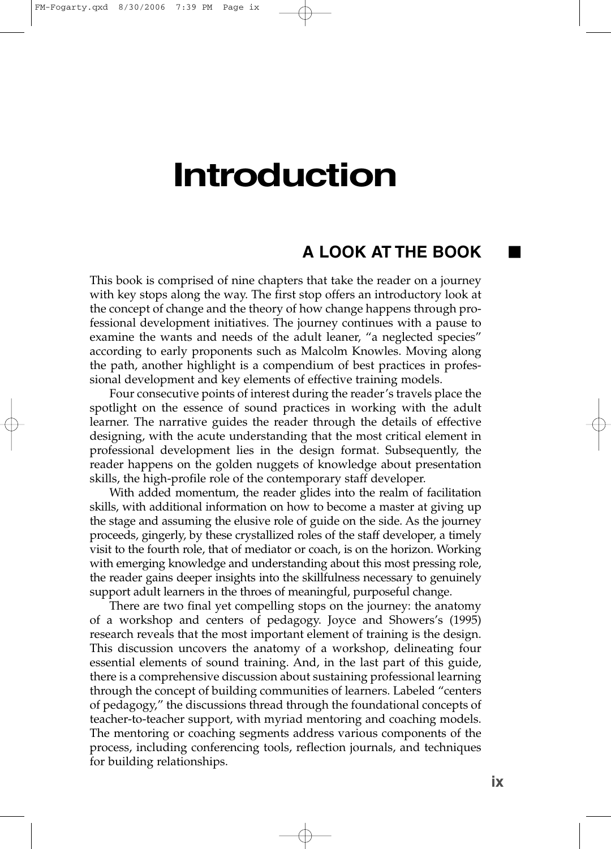# **Introduction**

## **A LOOK AT THE BOOK** ■

This book is comprised of nine chapters that take the reader on a journey with key stops along the way. The first stop offers an introductory look at the concept of change and the theory of how change happens through professional development initiatives. The journey continues with a pause to examine the wants and needs of the adult leaner, "a neglected species" according to early proponents such as Malcolm Knowles. Moving along the path, another highlight is a compendium of best practices in professional development and key elements of effective training models.

Four consecutive points of interest during the reader's travels place the spotlight on the essence of sound practices in working with the adult learner. The narrative guides the reader through the details of effective designing, with the acute understanding that the most critical element in professional development lies in the design format. Subsequently, the reader happens on the golden nuggets of knowledge about presentation skills, the high-profile role of the contemporary staff developer.

With added momentum, the reader glides into the realm of facilitation skills, with additional information on how to become a master at giving up the stage and assuming the elusive role of guide on the side. As the journey proceeds, gingerly, by these crystallized roles of the staff developer, a timely visit to the fourth role, that of mediator or coach, is on the horizon. Working with emerging knowledge and understanding about this most pressing role, the reader gains deeper insights into the skillfulness necessary to genuinely support adult learners in the throes of meaningful, purposeful change.

There are two final yet compelling stops on the journey: the anatomy of a workshop and centers of pedagogy. Joyce and Showers's (1995) research reveals that the most important element of training is the design. This discussion uncovers the anatomy of a workshop, delineating four essential elements of sound training. And, in the last part of this guide, there is a comprehensive discussion about sustaining professional learning through the concept of building communities of learners. Labeled "centers of pedagogy," the discussions thread through the foundational concepts of teacher-to-teacher support, with myriad mentoring and coaching models. The mentoring or coaching segments address various components of the process, including conferencing tools, reflection journals, and techniques for building relationships.